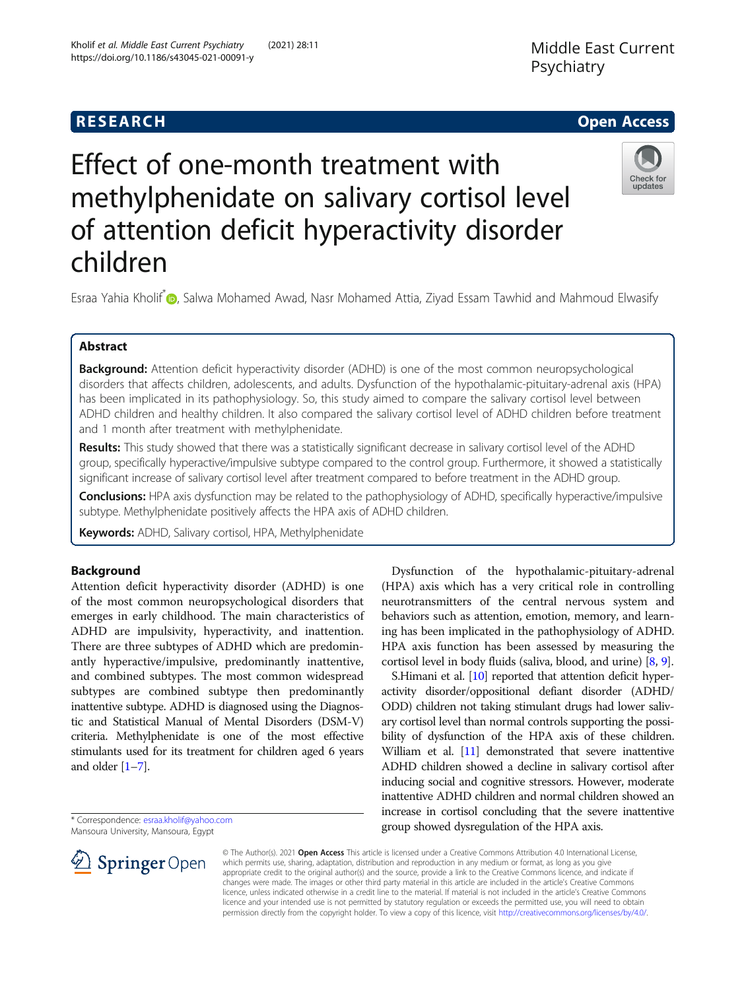# **RESEARCH CHILD CONTROL** CONTROL CONTROL CONTROL CONTROL CONTROL CONTROL CONTROL CONTROL CONTROL CONTROL CONTROL

# Effect of one-month treatment with methylphenidate on salivary cortisol level of attention deficit hyperactivity disorder children



Esraa Yahia Kholif<sup>\*</sup> , Salwa Mohamed Awad, Nasr Mohamed Attia, Ziyad Essam Tawhid and Mahmoud Elwasify

# Abstract

**Background:** Attention deficit hyperactivity disorder (ADHD) is one of the most common neuropsychological disorders that affects children, adolescents, and adults. Dysfunction of the hypothalamic-pituitary-adrenal axis (HPA) has been implicated in its pathophysiology. So, this study aimed to compare the salivary cortisol level between ADHD children and healthy children. It also compared the salivary cortisol level of ADHD children before treatment and 1 month after treatment with methylphenidate.

Results: This study showed that there was a statistically significant decrease in salivary cortisol level of the ADHD group, specifically hyperactive/impulsive subtype compared to the control group. Furthermore, it showed a statistically significant increase of salivary cortisol level after treatment compared to before treatment in the ADHD group.

Conclusions: HPA axis dysfunction may be related to the pathophysiology of ADHD, specifically hyperactive/impulsive subtype. Methylphenidate positively affects the HPA axis of ADHD children.

Keywords: ADHD, Salivary cortisol, HPA, Methylphenidate

# Background

Attention deficit hyperactivity disorder (ADHD) is one of the most common neuropsychological disorders that emerges in early childhood. The main characteristics of ADHD are impulsivity, hyperactivity, and inattention. There are three subtypes of ADHD which are predominantly hyperactive/impulsive, predominantly inattentive, and combined subtypes. The most common widespread subtypes are combined subtype then predominantly inattentive subtype. ADHD is diagnosed using the Diagnostic and Statistical Manual of Mental Disorders (DSM-V) criteria. Methylphenidate is one of the most effective stimulants used for its treatment for children aged 6 years and older [\[1](#page-7-0)–[7\]](#page-7-0).

Mansoura University, Mansoura, Egypt



S.Himani et al. [\[10\]](#page-7-0) reported that attention deficit hyperactivity disorder/oppositional defiant disorder (ADHD/ ODD) children not taking stimulant drugs had lower salivary cortisol level than normal controls supporting the possibility of dysfunction of the HPA axis of these children. William et al. [[11](#page-7-0)] demonstrated that severe inattentive ADHD children showed a decline in salivary cortisol after inducing social and cognitive stressors. However, moderate inattentive ADHD children and normal children showed an increase in cortisol concluding that the severe inattentive group showed dysregulation of the HPA axis.



© The Author(s). 2021 Open Access This article is licensed under a Creative Commons Attribution 4.0 International License, which permits use, sharing, adaptation, distribution and reproduction in any medium or format, as long as you give appropriate credit to the original author(s) and the source, provide a link to the Creative Commons licence, and indicate if changes were made. The images or other third party material in this article are included in the article's Creative Commons licence, unless indicated otherwise in a credit line to the material. If material is not included in the article's Creative Commons licence and your intended use is not permitted by statutory regulation or exceeds the permitted use, you will need to obtain permission directly from the copyright holder. To view a copy of this licence, visit <http://creativecommons.org/licenses/by/4.0/>.

<sup>\*</sup> Correspondence: [esraa.kholif@yahoo.com](mailto:esraa.kholif@yahoo.com)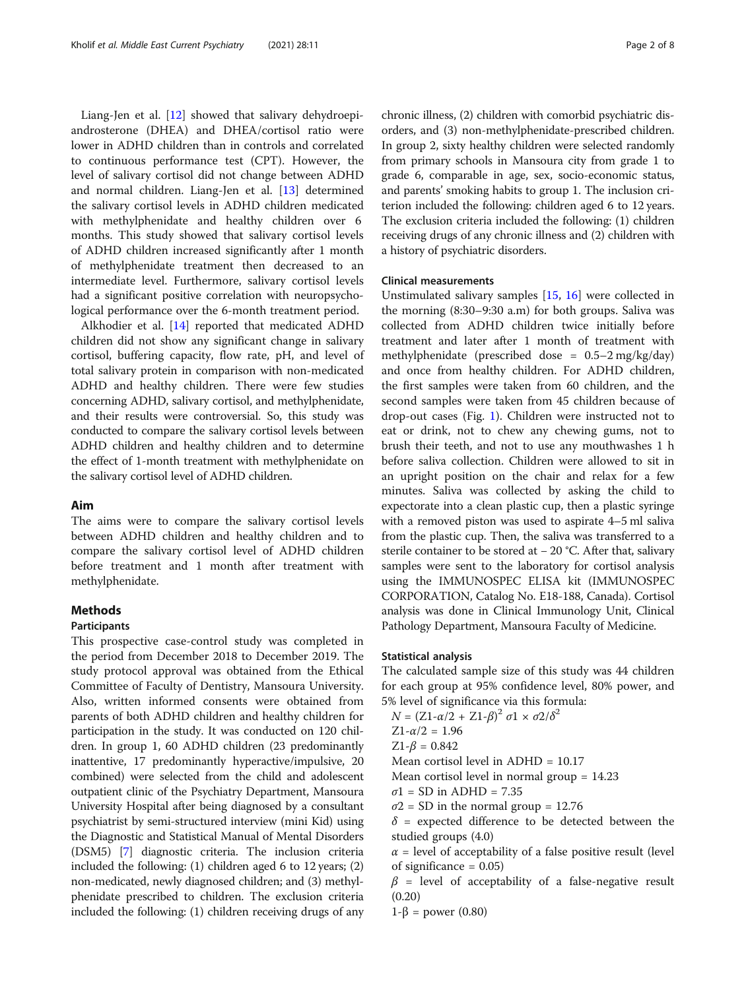Liang-Jen et al. [[12](#page-7-0)] showed that salivary dehydroepiandrosterone (DHEA) and DHEA/cortisol ratio were lower in ADHD children than in controls and correlated to continuous performance test (CPT). However, the level of salivary cortisol did not change between ADHD and normal children. Liang-Jen et al. [[13\]](#page-7-0) determined the salivary cortisol levels in ADHD children medicated with methylphenidate and healthy children over 6 months. This study showed that salivary cortisol levels of ADHD children increased significantly after 1 month of methylphenidate treatment then decreased to an intermediate level. Furthermore, salivary cortisol levels had a significant positive correlation with neuropsychological performance over the 6-month treatment period.

Alkhodier et al. [\[14](#page-7-0)] reported that medicated ADHD children did not show any significant change in salivary cortisol, buffering capacity, flow rate, pH, and level of total salivary protein in comparison with non-medicated ADHD and healthy children. There were few studies concerning ADHD, salivary cortisol, and methylphenidate, and their results were controversial. So, this study was conducted to compare the salivary cortisol levels between ADHD children and healthy children and to determine the effect of 1-month treatment with methylphenidate on the salivary cortisol level of ADHD children.

# Aim

The aims were to compare the salivary cortisol levels between ADHD children and healthy children and to compare the salivary cortisol level of ADHD children before treatment and 1 month after treatment with methylphenidate.

# Methods

#### Participants

This prospective case-control study was completed in the period from December 2018 to December 2019. The study protocol approval was obtained from the Ethical Committee of Faculty of Dentistry, Mansoura University. Also, written informed consents were obtained from parents of both ADHD children and healthy children for participation in the study. It was conducted on 120 children. In group 1, 60 ADHD children (23 predominantly inattentive, 17 predominantly hyperactive/impulsive, 20 combined) were selected from the child and adolescent outpatient clinic of the Psychiatry Department, Mansoura University Hospital after being diagnosed by a consultant psychiatrist by semi-structured interview (mini Kid) using the Diagnostic and Statistical Manual of Mental Disorders (DSM5) [\[7](#page-7-0)] diagnostic criteria. The inclusion criteria included the following: (1) children aged 6 to 12 years; (2) non-medicated, newly diagnosed children; and (3) methylphenidate prescribed to children. The exclusion criteria included the following: (1) children receiving drugs of any chronic illness, (2) children with comorbid psychiatric disorders, and (3) non-methylphenidate-prescribed children. In group 2, sixty healthy children were selected randomly from primary schools in Mansoura city from grade 1 to grade 6, comparable in age, sex, socio-economic status, and parents' smoking habits to group 1. The inclusion criterion included the following: children aged 6 to 12 years. The exclusion criteria included the following: (1) children receiving drugs of any chronic illness and (2) children with a history of psychiatric disorders.

### Clinical measurements

Unstimulated salivary samples [\[15](#page-7-0), [16](#page-7-0)] were collected in the morning (8:30–9:30 a.m) for both groups. Saliva was collected from ADHD children twice initially before treatment and later after 1 month of treatment with methylphenidate (prescribed dose =  $0.5-2$  mg/kg/day) and once from healthy children. For ADHD children, the first samples were taken from 60 children, and the second samples were taken from 45 children because of drop-out cases (Fig. [1\)](#page-2-0). Children were instructed not to eat or drink, not to chew any chewing gums, not to brush their teeth, and not to use any mouthwashes 1 h before saliva collection. Children were allowed to sit in an upright position on the chair and relax for a few minutes. Saliva was collected by asking the child to expectorate into a clean plastic cup, then a plastic syringe with a removed piston was used to aspirate 4–5 ml saliva from the plastic cup. Then, the saliva was transferred to a sterile container to be stored at − 20 °C. After that, salivary samples were sent to the laboratory for cortisol analysis using the IMMUNOSPEC ELISA kit (IMMUNOSPEC CORPORATION, Catalog No. E18-188, Canada). Cortisol analysis was done in Clinical Immunology Unit, Clinical Pathology Department, Mansoura Faculty of Medicine.

# Statistical analysis

The calculated sample size of this study was 44 children for each group at 95% confidence level, 80% power, and 5% level of significance via this formula:

 $N = (Z1-α/2 + Z1-β)^2 σ1 \times σ2/δ^2$ Z1-α/2 = 1.96 Z1-β = 0.842 Mean cortisol level in ADHD = 10.17 Mean cortisol level in normal group = 14.23  $\sigma$ 1 = SD in ADHD = 7.35  $\sigma$ 2 = SD in the normal group = 12.76  $\delta$  = expected difference to be detected between the studied groups (4.0)  $\alpha$  = level of acceptability of a false positive result (level of significance  $= 0.05$ )

 $\beta$  = level of acceptability of a false-negative result (0.20)

1-β = power  $(0.80)$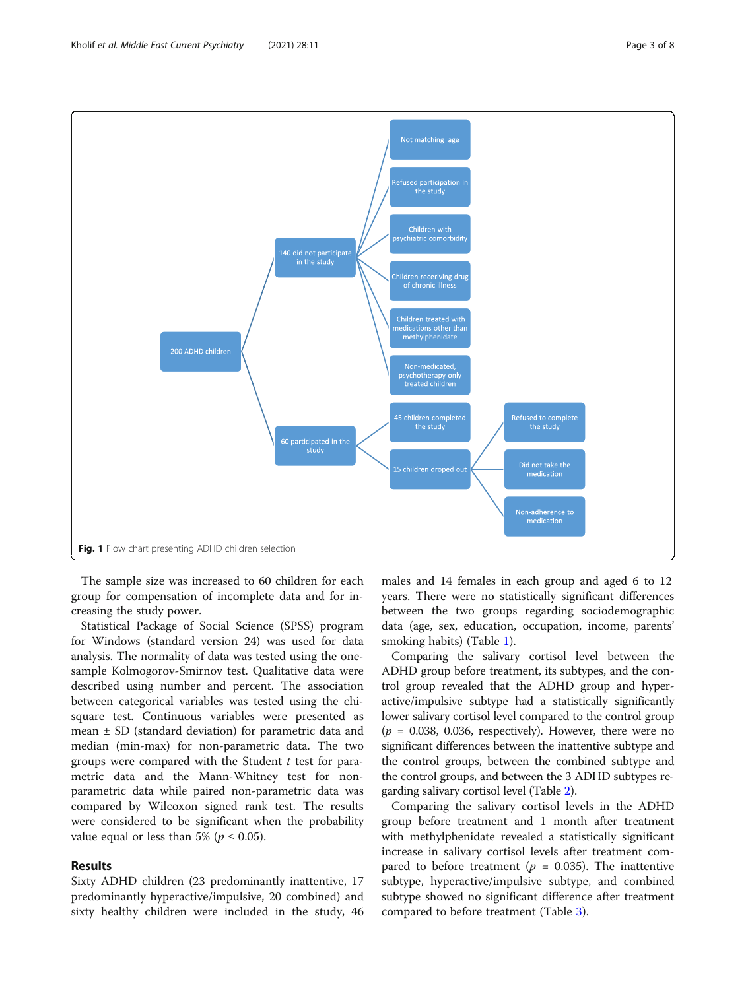<span id="page-2-0"></span>Kholif et al. Middle East Current Psychiatry (2021) 28:11



The sample size was increased to 60 children for each group for compensation of incomplete data and for increasing the study power.

Statistical Package of Social Science (SPSS) program for Windows (standard version 24) was used for data analysis. The normality of data was tested using the onesample Kolmogorov-Smirnov test. Qualitative data were described using number and percent. The association between categorical variables was tested using the chisquare test. Continuous variables were presented as mean  $\pm$  SD (standard deviation) for parametric data and median (min-max) for non-parametric data. The two groups were compared with the Student  $t$  test for parametric data and the Mann-Whitney test for nonparametric data while paired non-parametric data was compared by Wilcoxon signed rank test. The results were considered to be significant when the probability value equal or less than 5% ( $p \le 0.05$ ).

# Results

Sixty ADHD children (23 predominantly inattentive, 17 predominantly hyperactive/impulsive, 20 combined) and sixty healthy children were included in the study, 46 males and 14 females in each group and aged 6 to 12 years. There were no statistically significant differences between the two groups regarding sociodemographic data (age, sex, education, occupation, income, parents' smoking habits) (Table [1\)](#page-3-0).

Comparing the salivary cortisol level between the ADHD group before treatment, its subtypes, and the control group revealed that the ADHD group and hyperactive/impulsive subtype had a statistically significantly lower salivary cortisol level compared to the control group  $(p = 0.038, 0.036,$  respectively). However, there were no significant differences between the inattentive subtype and the control groups, between the combined subtype and the control groups, and between the 3 ADHD subtypes regarding salivary cortisol level (Table [2\)](#page-4-0).

Comparing the salivary cortisol levels in the ADHD group before treatment and 1 month after treatment with methylphenidate revealed a statistically significant increase in salivary cortisol levels after treatment compared to before treatment ( $p = 0.035$ ). The inattentive subtype, hyperactive/impulsive subtype, and combined subtype showed no significant difference after treatment compared to before treatment (Table [3\)](#page-5-0).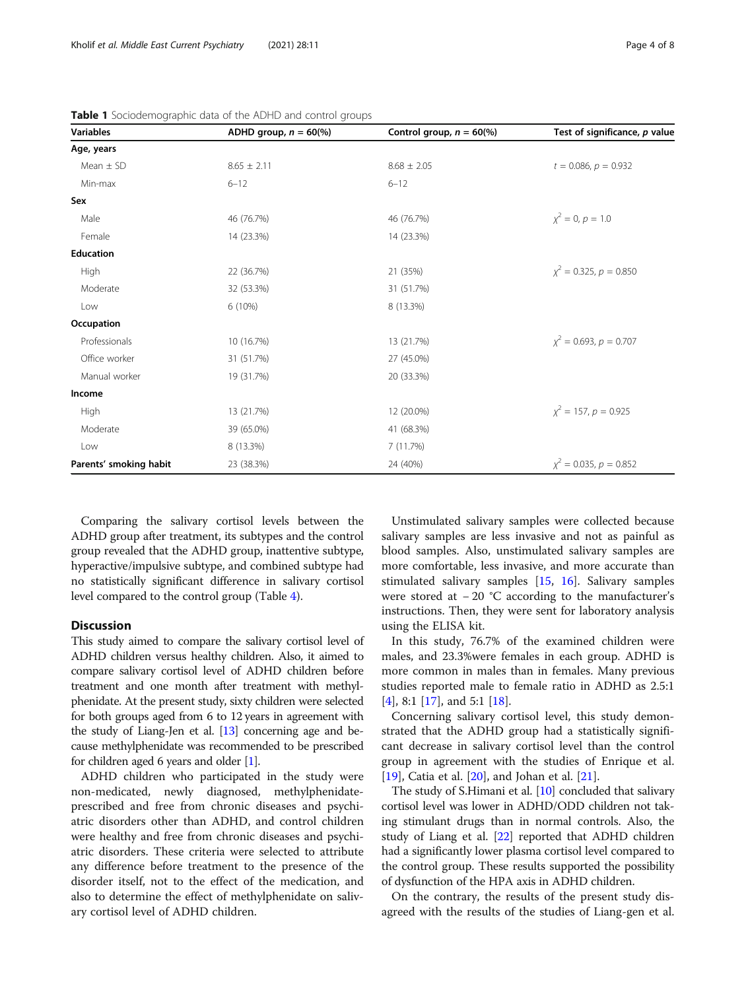| <b>Variables</b>       | ADHD group, $n = 60\%$ ) | Control group, $n = 60\%$ ) | Test of significance, p value |
|------------------------|--------------------------|-----------------------------|-------------------------------|
| Age, years             |                          |                             |                               |
| Mean $\pm$ SD          | $8.65 \pm 2.11$          | $8.68 \pm 2.05$             | $t = 0.086$ , $p = 0.932$     |
| Min-max                | $6 - 12$                 | $6 - 12$                    |                               |
| Sex                    |                          |                             |                               |
| Male                   | 46 (76.7%)               | 46 (76.7%)                  | $x^2 = 0, p = 1.0$            |
| Female                 | 14 (23.3%)               | 14 (23.3%)                  |                               |
| <b>Education</b>       |                          |                             |                               |
| High                   | 22 (36.7%)               | 21 (35%)                    | $\chi^2$ = 0.325, p = 0.850   |
| Moderate               | 32 (53.3%)               | 31 (51.7%)                  |                               |
| Low                    | 6 (10%)                  | 8 (13.3%)                   |                               |
| Occupation             |                          |                             |                               |
| Professionals          | 10 (16.7%)               | 13 (21.7%)                  | $\chi^2$ = 0.693, p = 0.707   |
| Office worker          | 31 (51.7%)               | 27 (45.0%)                  |                               |
| Manual worker          | 19 (31.7%)               | 20 (33.3%)                  |                               |
| Income                 |                          |                             |                               |
| High                   | 13 (21.7%)               | 12 (20.0%)                  | $\chi^2$ = 157, p = 0.925     |
| Moderate               | 39 (65.0%)               | 41 (68.3%)                  |                               |
| Low                    | 8 (13.3%)                | 7(11.7%)                    |                               |
| Parents' smoking habit | 23 (38.3%)               | 24 (40%)                    | $\chi^2$ = 0.035, p = 0.852   |

<span id="page-3-0"></span>Table 1 Sociodemographic data of the ADHD and control groups

Comparing the salivary cortisol levels between the ADHD group after treatment, its subtypes and the control group revealed that the ADHD group, inattentive subtype, hyperactive/impulsive subtype, and combined subtype had no statistically significant difference in salivary cortisol level compared to the control group (Table [4\)](#page-6-0).

# **Discussion**

This study aimed to compare the salivary cortisol level of ADHD children versus healthy children. Also, it aimed to compare salivary cortisol level of ADHD children before treatment and one month after treatment with methylphenidate. At the present study, sixty children were selected for both groups aged from 6 to 12 years in agreement with the study of Liang-Jen et al. [\[13\]](#page-7-0) concerning age and because methylphenidate was recommended to be prescribed for children aged 6 years and older [\[1\]](#page-7-0).

ADHD children who participated in the study were non-medicated, newly diagnosed, methylphenidateprescribed and free from chronic diseases and psychiatric disorders other than ADHD, and control children were healthy and free from chronic diseases and psychiatric disorders. These criteria were selected to attribute any difference before treatment to the presence of the disorder itself, not to the effect of the medication, and also to determine the effect of methylphenidate on salivary cortisol level of ADHD children.

Unstimulated salivary samples were collected because salivary samples are less invasive and not as painful as blood samples. Also, unstimulated salivary samples are more comfortable, less invasive, and more accurate than stimulated salivary samples [\[15](#page-7-0), [16\]](#page-7-0). Salivary samples were stored at − 20 °C according to the manufacturer's instructions. Then, they were sent for laboratory analysis using the ELISA kit.

In this study, 76.7% of the examined children were males, and 23.3%were females in each group. ADHD is more common in males than in females. Many previous studies reported male to female ratio in ADHD as 2.5:1 [[4\]](#page-7-0), 8:1 [\[17\]](#page-7-0), and 5:1 [\[18](#page-7-0)].

Concerning salivary cortisol level, this study demonstrated that the ADHD group had a statistically significant decrease in salivary cortisol level than the control group in agreement with the studies of Enrique et al. [[19\]](#page-7-0), Catia et al. [[20\]](#page-7-0), and Johan et al. [[21\]](#page-7-0).

The study of S.Himani et al. [\[10\]](#page-7-0) concluded that salivary cortisol level was lower in ADHD/ODD children not taking stimulant drugs than in normal controls. Also, the study of Liang et al. [\[22\]](#page-7-0) reported that ADHD children had a significantly lower plasma cortisol level compared to the control group. These results supported the possibility of dysfunction of the HPA axis in ADHD children.

On the contrary, the results of the present study disagreed with the results of the studies of Liang-gen et al.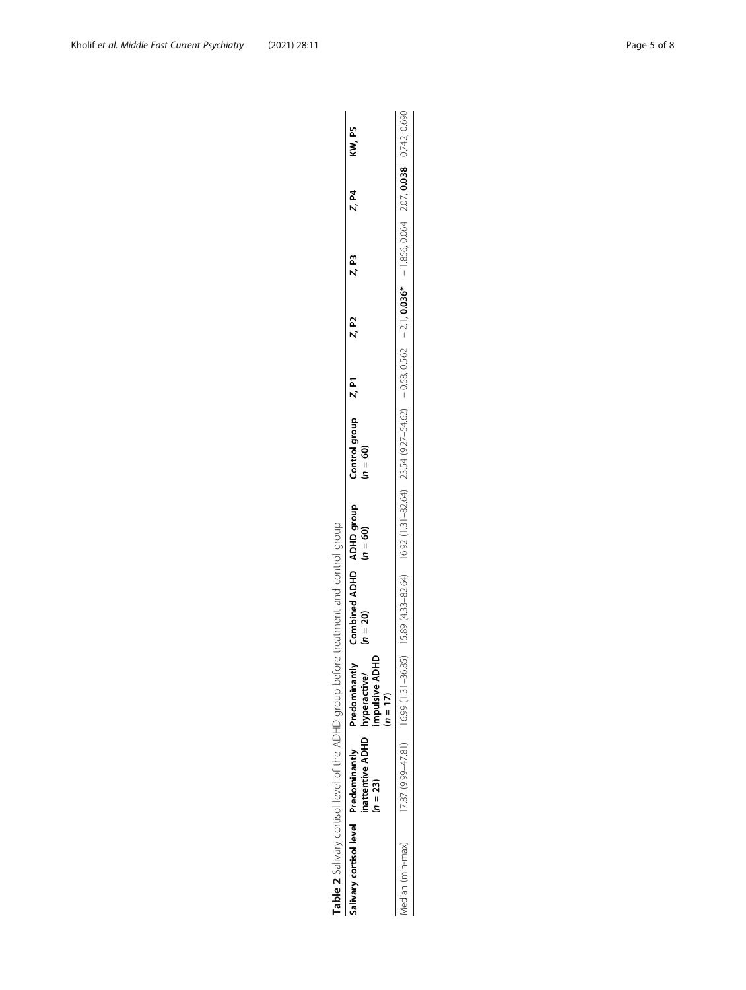| ١<br>.<br>.<br>$\overline{ }$                                     |
|-------------------------------------------------------------------|
| --------<br>;                                                     |
|                                                                   |
| $-10.04$<br>$\overline{ }$<br>3)<br>¢                             |
| $-2$                                                              |
| 7<br>J                                                            |
| $\overline{\phantom{a}}$<br>$\overline{ }$<br>Ï<br>$\overline{a}$ |
| $\frac{4}{1}$                                                     |
| $\ddot{a}$                                                        |
| $\frac{1}{4}$<br>j                                                |
| もちょう こうていこ<br>5<br>-<br>ξ<br>Ì                                    |
| <br> }<br> }<br>$\epsilon$<br>$\frac{a}{c}$<br>j<br>ı             |

<span id="page-4-0"></span>

| Salivary cortisol level Predominantly Predominantl | nattentive ADHD hyperactive/<br>$(n = 23)$ | 읖<br>≥<br>mpulsive ADI<br>$(n = 17)$ | Combined ADHD ADHD group<br>$n = 20$                                                                                                          | $(n = 60)$ | Control group $Z$ , P1<br>$(n = 60)$ | Z, P2 | Z, P3 | $Z$ , P4 | KW, P5 |
|----------------------------------------------------|--------------------------------------------|--------------------------------------|-----------------------------------------------------------------------------------------------------------------------------------------------|------------|--------------------------------------|-------|-------|----------|--------|
| Aedian (min-max)                                   | $17.87(9.99 - 47.81)$ $16.99(1.31 - 36.$   |                                      | $15.85$ $15.89$ (4.33-82.64) $16.92$ (1.31-82.64) $23.54$ (9.27-54.62) $-21$ , 0.562 $-21$ , 0.563 $-1856$ , 0.064 $207$ , 0.038 0.742, 0.690 |            |                                      |       |       |          |        |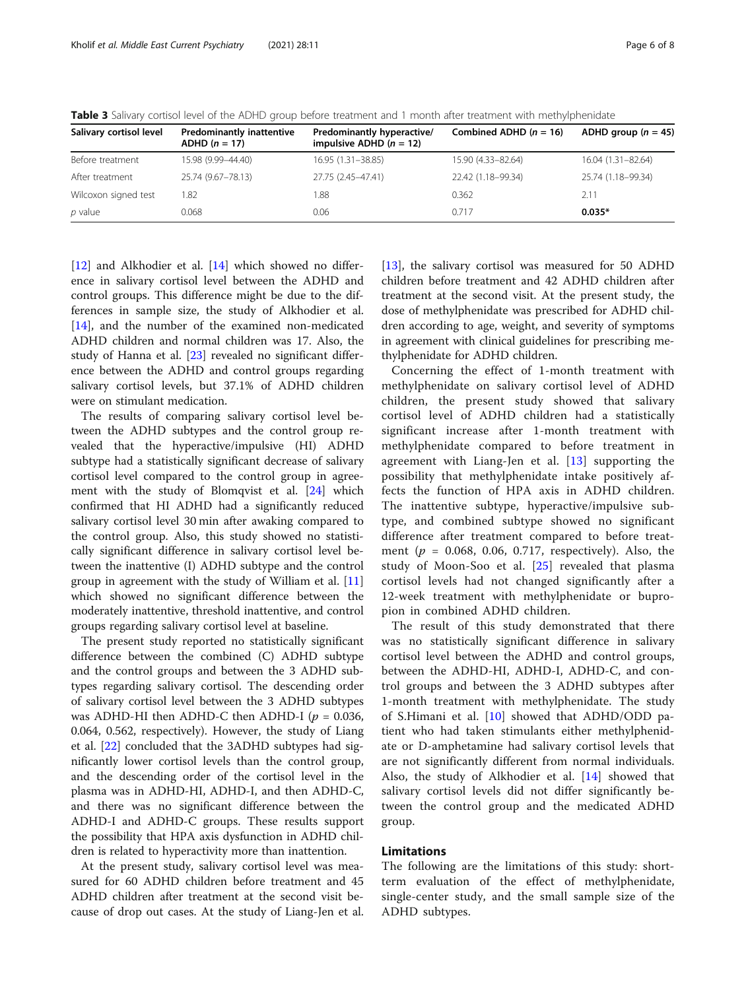<span id="page-5-0"></span>

|  |  |  | Table 3 Salivary cortisol level of the ADHD group before treatment and 1 month after treatment with methylphenidate |  |
|--|--|--|---------------------------------------------------------------------------------------------------------------------|--|
|  |  |  |                                                                                                                     |  |

| Salivary cortisol level | <b>Predominantly inattentive</b><br>ADHD $(n = 17)$ | Predominantly hyperactive/<br>impulsive ADHD $(n = 12)$ | Combined ADHD $(n = 16)$ | ADHD group $(n = 45)$ |
|-------------------------|-----------------------------------------------------|---------------------------------------------------------|--------------------------|-----------------------|
| Before treatment        | 15.98 (9.99-44.40)                                  | $16.95(1.31 - 38.85)$                                   | 15.90 (4.33-82.64)       | 16.04 (1.31-82.64)    |
| After treatment         | 25.74 (9.67-78.13)                                  | 27.75 (2.45-47.41)                                      | 22.42 (1.18-99.34)       | 25.74 (1.18-99.34)    |
| Wilcoxon signed test    | 1.82                                                | .88                                                     | 0.362                    | 2.11                  |
| p value                 | 0.068                                               | 0.06                                                    | 0.717                    | $0.035*$              |

[[12\]](#page-7-0) and Alkhodier et al. [[14\]](#page-7-0) which showed no difference in salivary cortisol level between the ADHD and control groups. This difference might be due to the differences in sample size, the study of Alkhodier et al. [[14\]](#page-7-0), and the number of the examined non-medicated ADHD children and normal children was 17. Also, the study of Hanna et al. [[23\]](#page-7-0) revealed no significant difference between the ADHD and control groups regarding salivary cortisol levels, but 37.1% of ADHD children were on stimulant medication.

The results of comparing salivary cortisol level between the ADHD subtypes and the control group revealed that the hyperactive/impulsive (HI) ADHD subtype had a statistically significant decrease of salivary cortisol level compared to the control group in agreement with the study of Blomqvist et al. [\[24\]](#page-7-0) which confirmed that HI ADHD had a significantly reduced salivary cortisol level 30 min after awaking compared to the control group. Also, this study showed no statistically significant difference in salivary cortisol level between the inattentive (I) ADHD subtype and the control group in agreement with the study of William et al. [[11](#page-7-0)] which showed no significant difference between the moderately inattentive, threshold inattentive, and control groups regarding salivary cortisol level at baseline.

The present study reported no statistically significant difference between the combined (C) ADHD subtype and the control groups and between the 3 ADHD subtypes regarding salivary cortisol. The descending order of salivary cortisol level between the 3 ADHD subtypes was ADHD-HI then ADHD-C then ADHD-I ( $p = 0.036$ , 0.064, 0.562, respectively). However, the study of Liang et al. [[22](#page-7-0)] concluded that the 3ADHD subtypes had significantly lower cortisol levels than the control group, and the descending order of the cortisol level in the plasma was in ADHD-HI, ADHD-I, and then ADHD-C, and there was no significant difference between the ADHD-I and ADHD-C groups. These results support the possibility that HPA axis dysfunction in ADHD children is related to hyperactivity more than inattention.

At the present study, salivary cortisol level was measured for 60 ADHD children before treatment and 45 ADHD children after treatment at the second visit because of drop out cases. At the study of Liang-Jen et al. [[13\]](#page-7-0), the salivary cortisol was measured for 50 ADHD children before treatment and 42 ADHD children after treatment at the second visit. At the present study, the dose of methylphenidate was prescribed for ADHD children according to age, weight, and severity of symptoms in agreement with clinical guidelines for prescribing methylphenidate for ADHD children.

Concerning the effect of 1-month treatment with methylphenidate on salivary cortisol level of ADHD children, the present study showed that salivary cortisol level of ADHD children had a statistically significant increase after 1-month treatment with methylphenidate compared to before treatment in agreement with Liang-Jen et al. [\[13\]](#page-7-0) supporting the possibility that methylphenidate intake positively affects the function of HPA axis in ADHD children. The inattentive subtype, hyperactive/impulsive subtype, and combined subtype showed no significant difference after treatment compared to before treatment ( $p = 0.068, 0.06, 0.717$ , respectively). Also, the study of Moon-Soo et al. [\[25](#page-7-0)] revealed that plasma cortisol levels had not changed significantly after a 12-week treatment with methylphenidate or bupropion in combined ADHD children.

The result of this study demonstrated that there was no statistically significant difference in salivary cortisol level between the ADHD and control groups, between the ADHD-HI, ADHD-I, ADHD-C, and control groups and between the 3 ADHD subtypes after 1-month treatment with methylphenidate. The study of S.Himani et al. [[10](#page-7-0)] showed that ADHD/ODD patient who had taken stimulants either methylphenidate or D-amphetamine had salivary cortisol levels that are not significantly different from normal individuals. Also, the study of Alkhodier et al. [\[14](#page-7-0)] showed that salivary cortisol levels did not differ significantly between the control group and the medicated ADHD group.

# Limitations

The following are the limitations of this study: shortterm evaluation of the effect of methylphenidate, single-center study, and the small sample size of the ADHD subtypes.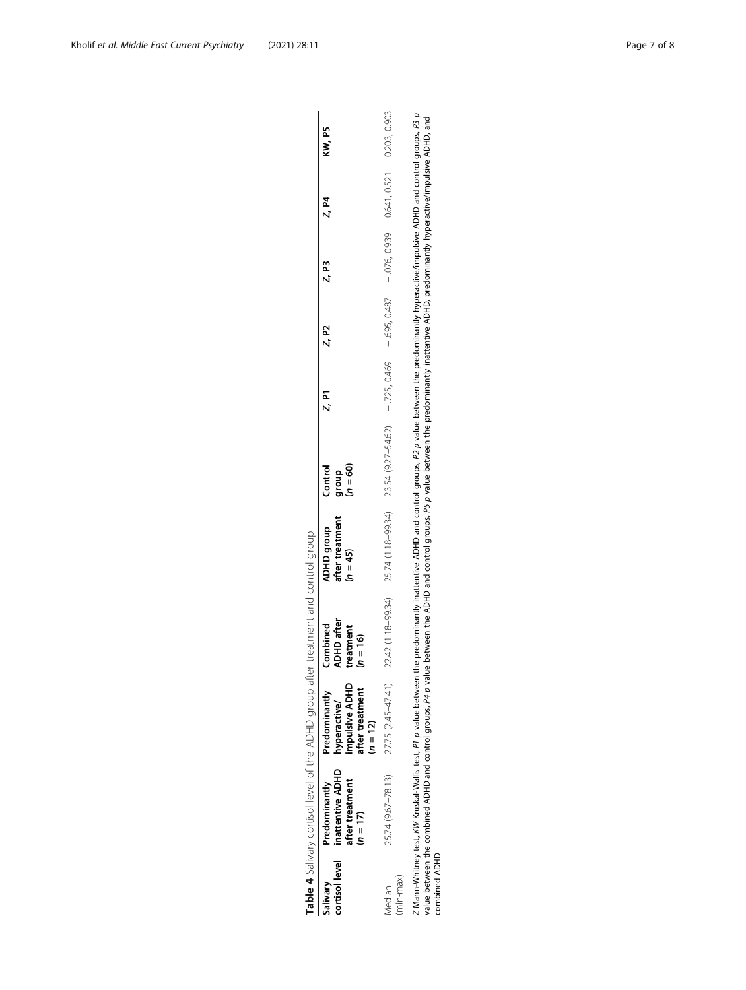| )<br>J                                 |  |
|----------------------------------------|--|
| ;<br>5<br>)<br> <br> <br> <br>         |  |
| نه سمکت مستحد ال<br>$\frac{1}{2}$<br>, |  |
| $\frac{1}{2}$<br>l                     |  |
| $\frac{1}{2}$<br>j<br>$\vdots$         |  |
| $\ddot{\phantom{a}}$                   |  |
|                                        |  |
| こうこう<br>֚֘֝<br>ŀ                       |  |

<span id="page-6-0"></span>

| cortisol level<br>Salivary | inattentive ADHD<br>Predominantly<br>after treatment<br>$(n = 17)$                                                                                                                                                                                                                                                                                                                                                          | impulsive ADHD<br>after treatment<br>Predominantly<br>hyperactive/<br>$(n = 12)$ | ADHD after<br>Combined<br>treatment<br>$(n = 16)$ | after treatment<br><b>ADHD</b> group<br>$(n = 45)$ | $(n = 60)$<br>Control<br>dho.f6                                                                                                            | ը<br>Հ | Z P2 | Z P3 | Z P4 | KW, P5 |
|----------------------------|-----------------------------------------------------------------------------------------------------------------------------------------------------------------------------------------------------------------------------------------------------------------------------------------------------------------------------------------------------------------------------------------------------------------------------|----------------------------------------------------------------------------------|---------------------------------------------------|----------------------------------------------------|--------------------------------------------------------------------------------------------------------------------------------------------|--------|------|------|------|--------|
| min-max)<br>Nedian         |                                                                                                                                                                                                                                                                                                                                                                                                                             | 25.74 (9.67-78.13) 27.75 (2.45-47.41)                                            |                                                   |                                                    | 22.42(J.19.59, 0.203, 0.999 0.076, 0.205 0.497, 0.205 0.47, 0.205 0.47, 0.205 0.47, 22.54(J.19.59, 0.305, 0.20<br>20.32.42(J.19.59, 0.205) |        |      |      |      |        |
| combined ADHD              | Z Mann-Whitney test, KW Kruskal-Wallis test, P1 p value between the predominantly inattentive ADHD and control groups, P2 p value between the predominantly hyperactive/impulsive ADHD and control groups, P3 p<br>value between the combined ADHD and control groups, P4 p value between the ADHD and control groups, P5 p value between the predominantly inattentive ADHD, predominantly hyperactive/impulsive ADHD, and |                                                                                  |                                                   |                                                    |                                                                                                                                            |        |      |      |      |        |